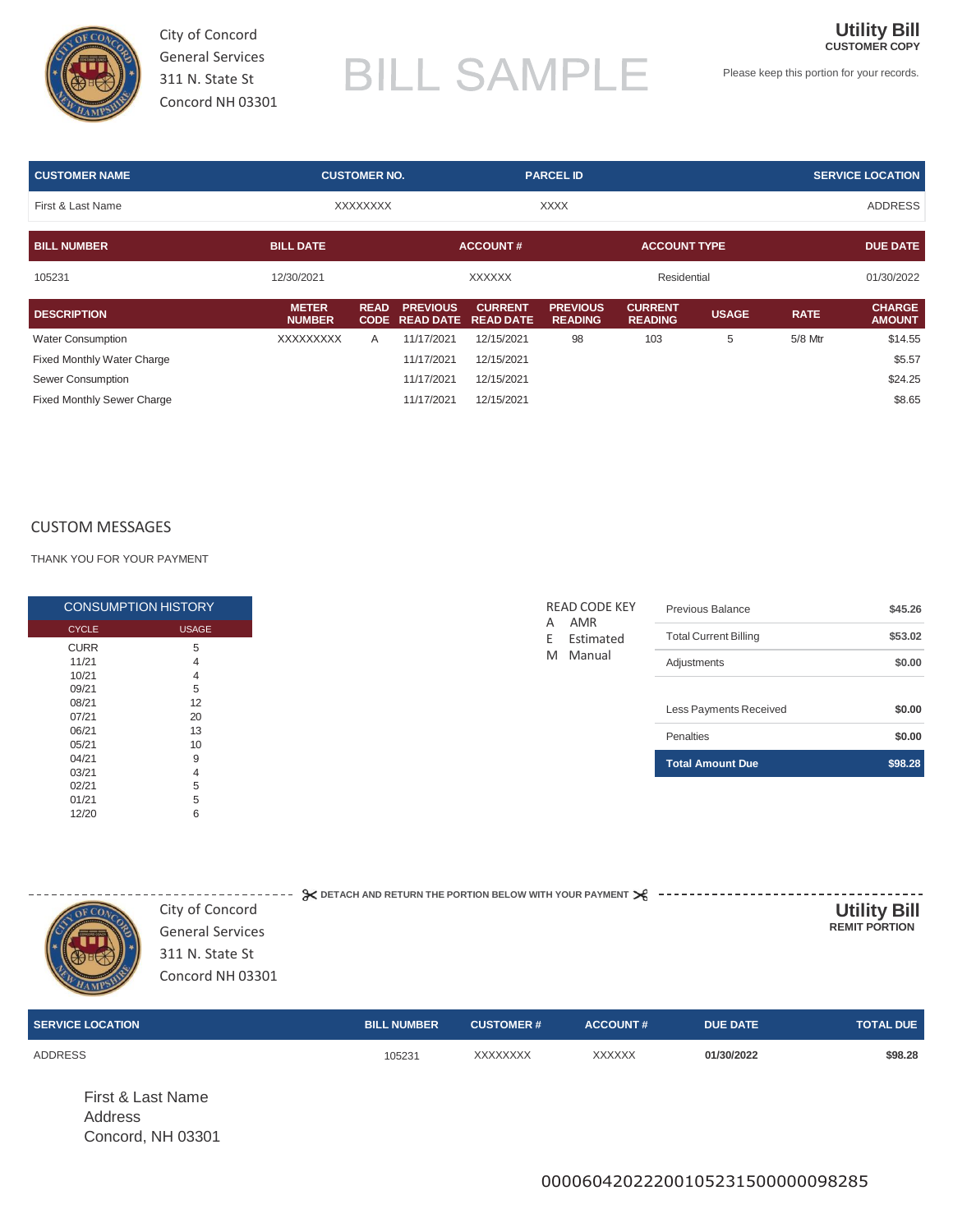

City of Concord General Services 311 N. State St Concord NH 03301

# **BILL SAMPLE**

Please keep this portion for your records.

**Utility Bill CUSTOMER COPY**

| <b>CUSTOMER NAME</b>              |                               | <b>CUSTOMER NO.</b> |                                          | <b>PARCEL ID</b>                   |                                   |                                  | <b>SERVICE LOCATION</b> |             |                                |
|-----------------------------------|-------------------------------|---------------------|------------------------------------------|------------------------------------|-----------------------------------|----------------------------------|-------------------------|-------------|--------------------------------|
| First & Last Name                 |                               | <b>XXXXXXXX</b>     |                                          | <b>XXXX</b>                        |                                   |                                  |                         |             | <b>ADDRESS</b>                 |
| <b>BILL NUMBER</b>                | <b>BILL DATE</b>              |                     |                                          | <b>ACCOUNT#</b>                    |                                   | <b>ACCOUNT TYPE</b>              |                         |             | <b>DUE DATE</b>                |
| 105231                            | 12/30/2021                    |                     |                                          | <b>XXXXXX</b>                      |                                   | Residential                      |                         |             | 01/30/2022                     |
| <b>DESCRIPTION</b>                | <b>METER</b><br><b>NUMBER</b> | <b>READ</b>         | <b>PREVIOUS</b><br><b>CODE READ DATE</b> | <b>CURRENT</b><br><b>READ DATE</b> | <b>PREVIOUS</b><br><b>READING</b> | <b>CURRENT</b><br><b>READING</b> | <b>USAGE</b>            | <b>RATE</b> | <b>CHARGE</b><br><b>AMOUNT</b> |
| <b>Water Consumption</b>          | <b>XXXXXXXXX</b>              | $\mathsf{A}$        | 11/17/2021                               | 12/15/2021                         | 98                                | 103                              | 5                       | 5/8 Mtr     | \$14.55                        |
| <b>Fixed Monthly Water Charge</b> |                               |                     | 11/17/2021                               | 12/15/2021                         |                                   |                                  |                         |             | \$5.57                         |
| Sewer Consumption                 |                               |                     | 11/17/2021                               | 12/15/2021                         |                                   |                                  |                         |             | \$24.25                        |
| <b>Fixed Monthly Sewer Charge</b> |                               |                     | 11/17/2021                               | 12/15/2021                         |                                   |                                  |                         |             | \$8.65                         |

#### CUSTOM MESSAGES

THANK YOU FOR YOUR PAYMENT

|              | <b>CONSUMPTION HISTORY</b> |
|--------------|----------------------------|
| <b>CYCLE</b> | <b>USAGE</b>               |
| <b>CURR</b>  | 5                          |
| 11/21        | 4                          |
| 10/21        | 4                          |
| 09/21        | 5                          |
| 08/21        | 12                         |
| 07/21        | 20                         |
| 06/21        | 13                         |
| 05/21        | 10                         |
| 04/21        | 9                          |
| 03/21        | 4                          |
| 02/21        | 5                          |
| 01/21        | 5                          |
| 12/20        | 6                          |

| 311 N. State St<br>Concord NH 03301 |  | City of Concord<br><b>General Services</b> | $\approx$ DETACH AND RETURN THE PORTION BELOW WITH YOUR PAYMENT $\geq 2$ --- | <b>Utility Bill</b><br><b>REMIT PORTION</b> |
|-------------------------------------|--|--------------------------------------------|------------------------------------------------------------------------------|---------------------------------------------|
|-------------------------------------|--|--------------------------------------------|------------------------------------------------------------------------------|---------------------------------------------|

| <b>SERVICE LOCATION</b>                           | <b>BILL NUMBER</b> | <b>CUSTOMER#</b> | <b>ACCOUNT#</b> | <b>DUE DATE</b> | <b>TOTAL DUE</b> |
|---------------------------------------------------|--------------------|------------------|-----------------|-----------------|------------------|
| <b>ADDRESS</b>                                    | 105231             | XXXXXXXX         | <b>XXXXXX</b>   | 01/30/2022      | \$98.28          |
| First & Last Name<br>Address<br>Concord, NH 03301 |                    |                  |                 |                 |                  |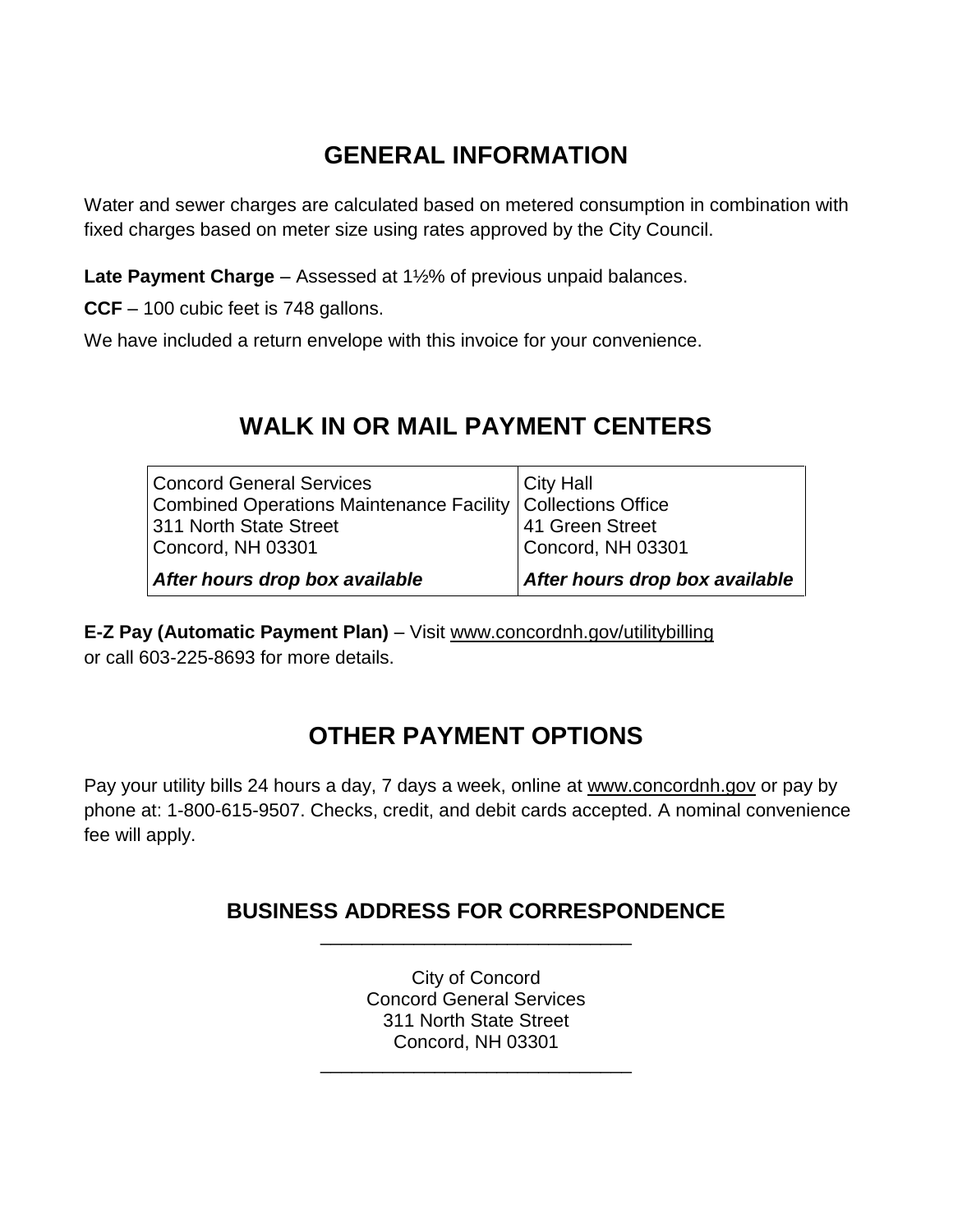# **GENERAL INFORMATION**

Water and sewer charges are calculated based on metered consumption in combination with fixed charges based on meter size using rates approved by the City Council.

**Late Payment Charge** – Assessed at 1½% of previous unpaid balances.

**CCF** – 100 cubic feet is 748 gallons.

We have included a return envelope with this invoice for your convenience.

### **WALK IN OR MAIL PAYMENT CENTERS**

| <b>Concord General Services</b>                               | City Hall                      |
|---------------------------------------------------------------|--------------------------------|
| Combined Operations Maintenance Facility   Collections Office |                                |
| 311 North State Street                                        | 41 Green Street                |
| Concord, NH 03301                                             | Concord, NH 03301              |
| After hours drop box available                                | After hours drop box available |

**E-Z Pay (Automatic Payment Plan)** – Visit [www.concordnh.gov/utilitybilling](http://www.concordnh.gov/utilitybilling) or call 603-225-8693 for more details.

# **OTHER PAYMENT OPTIONS**

Pay your utility bills 24 hours a day, 7 days a week, online at [www.concordnh.gov](http://www.concordnh.gov/) or pay by phone at: 1-800-615-9507. Checks, credit, and debit cards accepted. A nominal convenience fee will apply.

### **BUSINESS ADDRESS FOR CORRESPONDENCE** \_\_\_\_\_\_\_\_\_\_\_\_\_\_\_\_\_\_\_\_\_\_\_\_\_\_\_\_\_\_

City of Concord Concord General Services 311 North State Street Concord, NH 03301

\_\_\_\_\_\_\_\_\_\_\_\_\_\_\_\_\_\_\_\_\_\_\_\_\_\_\_\_\_\_